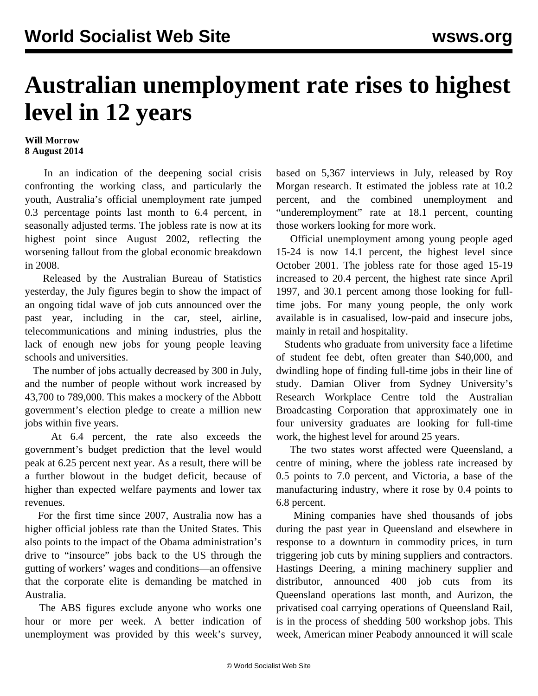## **Australian unemployment rate rises to highest level in 12 years**

## **Will Morrow 8 August 2014**

 In an indication of the deepening social crisis confronting the working class, and particularly the youth, Australia's official unemployment rate jumped 0.3 percentage points last month to 6.4 percent, in seasonally adjusted terms. The jobless rate is now at its highest point since August 2002, reflecting the worsening fallout from the global economic breakdown in 2008.

 Released by the Australian Bureau of Statistics yesterday, the July figures begin to show the impact of an ongoing tidal wave of job cuts announced over the past year, including in the car, steel, airline, telecommunications and mining industries, plus the lack of enough new jobs for young people leaving schools and universities.

 The number of jobs actually decreased by 300 in July, and the number of people without work increased by 43,700 to 789,000. This makes a mockery of the Abbott government's election pledge to create a million new jobs within five years.

 At 6.4 percent, the rate also exceeds the government's budget prediction that the level would peak at 6.25 percent next year. As a result, there will be a further blowout in the budget deficit, because of higher than expected welfare payments and lower tax revenues.

 For the first time since 2007, Australia now has a higher official jobless rate than the United States. This also points to the impact of the Obama administration's drive to "insource" jobs back to the US through the gutting of workers' wages and conditions—an offensive that the corporate elite is demanding be matched in Australia.

 The ABS figures exclude anyone who works one hour or more per week. A better indication of unemployment was provided by this week's survey,

based on 5,367 interviews in July, released by Roy Morgan research. It estimated the jobless rate at 10.2 percent, and the combined unemployment and "underemployment" rate at 18.1 percent, counting those workers looking for more work.

 Official unemployment among young people aged 15-24 is now 14.1 percent, the highest level since October 2001. The jobless rate for those aged 15-19 increased to 20.4 percent, the highest rate since April 1997, and 30.1 percent among those looking for fulltime jobs. For many young people, the only work available is in casualised, low-paid and insecure jobs, mainly in retail and hospitality.

 Students who graduate from university face a lifetime of student fee debt, often greater than \$40,000, and dwindling hope of finding full-time jobs in their line of study. Damian Oliver from Sydney University's Research Workplace Centre told the Australian Broadcasting Corporation that approximately one in four university graduates are looking for full-time work, the highest level for around 25 years.

 The two states worst affected were Queensland, a centre of mining, where the jobless rate increased by 0.5 points to 7.0 percent, and Victoria, a base of the manufacturing industry, where it rose by 0.4 points to 6.8 percent.

 Mining companies have shed thousands of jobs during the past year in Queensland and elsewhere in response to a downturn in commodity prices, in turn triggering job cuts by mining suppliers and contractors. Hastings Deering, a mining machinery supplier and distributor, announced 400 job cuts from its Queensland operations last month, and Aurizon, the privatised coal carrying operations of Queensland Rail, is in the process of shedding 500 workshop jobs. This week, American miner Peabody announced it will scale